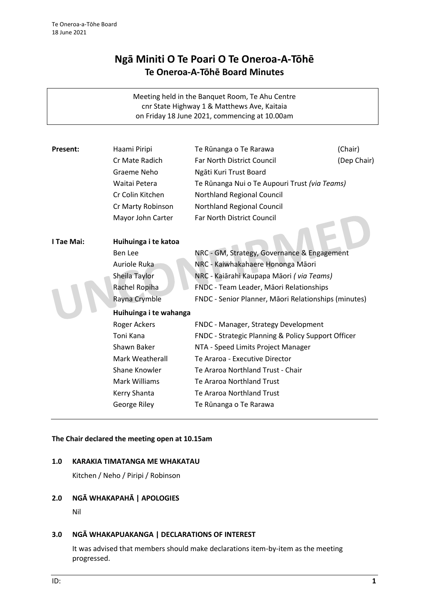# **Ngā Miniti O Te Poari O Te Oneroa-A-Tōhē Te Oneroa-A-Tōhē Board Minutes**

Meeting held in the Banquet Room, Te Ahu Centre cnr State Highway 1 & Matthews Ave, Kaitaia on Friday 18 June 2021, commencing at 10.00am

| Present:   | Haami Piripi           | Te Rūnanga o Te Rarawa                               | (Chair)     |
|------------|------------------------|------------------------------------------------------|-------------|
|            | Cr Mate Radich         | Far North District Council                           | (Dep Chair) |
|            | Graeme Neho            | Ngāti Kuri Trust Board                               |             |
|            | Waitai Petera          | Te Rūnanga Nui o Te Aupouri Trust (via Teams)        |             |
|            | Cr Colin Kitchen       | Northland Regional Council                           |             |
|            | Cr Marty Robinson      | Northland Regional Council                           |             |
|            | Mayor John Carter      | Far North District Council                           |             |
|            |                        |                                                      |             |
| I Tae Mai: | Huihuinga i te katoa   |                                                      |             |
|            | Ben Lee                | NRC - GM, Strategy, Governance & Engagement          |             |
|            | Auriole Ruka           | NRC - Kaiwhakahaere Hononga Māori                    |             |
|            | Sheila Taylor          | NRC - Kaiārahi Kaupapa Māori (via Teams)             |             |
|            | Rachel Ropiha          | FNDC - Team Leader, Māori Relationships              |             |
|            | Rayna Crymble          | FNDC - Senior Planner, Māori Relationships (minutes) |             |
|            | Huihuinga i te wahanga |                                                      |             |
|            | Roger Ackers           | FNDC - Manager, Strategy Development                 |             |
|            | Toni Kana              | FNDC - Strategic Planning & Policy Support Officer   |             |
|            | Shawn Baker            | NTA - Speed Limits Project Manager                   |             |
|            | Mark Weatherall        | Te Araroa - Executive Director                       |             |
|            | Shane Knowler          | Te Araroa Northland Trust - Chair                    |             |
|            | Mark Williams          | Te Araroa Northland Trust                            |             |
|            | Kerry Shanta           | Te Araroa Northland Trust                            |             |
|            | George Riley           | Te Rūnanga o Te Rarawa                               |             |
|            |                        |                                                      |             |

#### **The Chair declared the meeting open at 10.15am**

#### **1.0 KARAKIA TIMATANGA ME WHAKATAU**

Kitchen / Neho / Piripi / Robinson

# **2.0 NGĀ WHAKAPAHĀ | APOLOGIES**

Nil

# **3.0 NGĀ WHAKAPUAKANGA | DECLARATIONS OF INTEREST**

It was advised that members should make declarations item-by-item as the meeting progressed.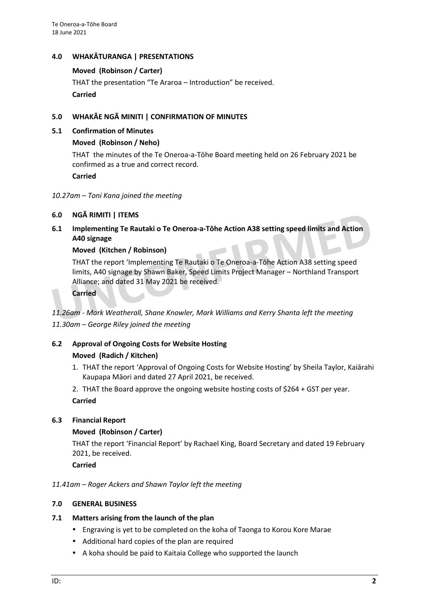# **4.0 WHAKĀTURANGA | PRESENTATIONS**

#### **Moved (Robinson / Carter)**

THAT the presentation "Te Araroa – Introduction" be received. **Carried**

# **5.0 WHAKĀE NGĀ MINITI | CONFIRMATION OF MINUTES**

#### **5.1 Confirmation of Minutes**

# **Moved (Robinson / Neho)**

THAT the minutes of the Te Oneroa-a-Tōhe Board meeting held on 26 February 2021 be confirmed as a true and correct record.

**Carried**

#### *10.27am – Toni Kana joined the meeting*

# **6.0 NGĀ RIMITI | ITEMS**

**6.1 Implementing Te Rautaki o Te Oneroa-a-Tōhe Action A38 setting speed limits and Action A40 signage**

# **Moved (Kitchen / Robinson)**

THAT the report 'Implementing Te Rautaki o Te Oneroa-a-Tōhe Action A38 setting speed limits, A40 signage by Shawn Baker, Speed Limits Project Manager – Northland Transport Alliance; and dated 31 May 2021 be received.

**Carried**

*11.26am - Mark Weatherall, Shane Knowler, Mark Williams and Kerry Shanta left the meeting 11.30am – George Riley joined the meeting*

# **6.2 Approval of Ongoing Costs for Website Hosting**

# **Moved (Radich / Kitchen)**

- 1. THAT the report 'Approval of Ongoing Costs for Website Hosting' by Sheila Taylor, Kaiārahi Kaupapa Māori and dated 27 April 2021, be received.
- 2. THAT the Board approve the ongoing website hosting costs of \$264 + GST per year. **Carried**

# **6.3 Financial Report**

# **Moved (Robinson / Carter)**

THAT the report 'Financial Report' by Rachael King, Board Secretary and dated 19 February 2021, be received.

**Carried**

# *11.41am – Roger Ackers and Shawn Taylor left the meeting*

# **7.0 GENERAL BUSINESS**

# **7.1 Matters arising from the launch of the plan**

- Engraving is yet to be completed on the koha of Taonga to Korou Kore Marae
- Additional hard copies of the plan are required
- A koha should be paid to Kaitaia College who supported the launch